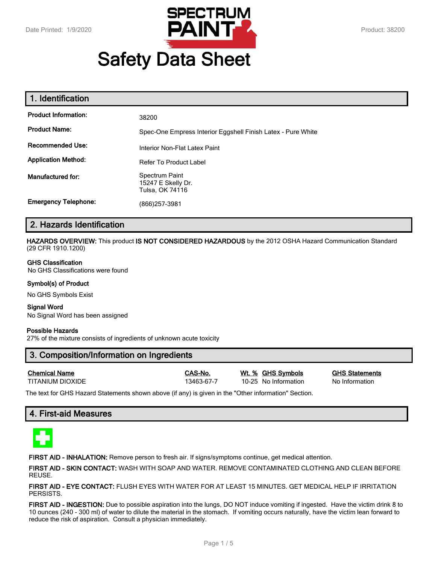

# **Safety Data Sheet**

| 1. Identification           |                                                              |
|-----------------------------|--------------------------------------------------------------|
| <b>Product Information:</b> | 38200                                                        |
| <b>Product Name:</b>        | Spec-One Empress Interior Eggshell Finish Latex - Pure White |
| <b>Recommended Use:</b>     | Interior Non-Flat Latex Paint                                |
| <b>Application Method:</b>  | <b>Refer To Product Label</b>                                |
| Manufactured for:           | Spectrum Paint<br>15247 E Skelly Dr.<br>Tulsa, OK 74116      |
| <b>Emergency Telephone:</b> | (866)257-3981                                                |

# **2. Hazards Identification**

**HAZARDS OVERVIEW:** This product **IS NOT CONSIDERED HAZARDOUS** by the 2012 OSHA Hazard Communication Standard (29 CFR 1910.1200)

#### **GHS Classification**

No GHS Classifications were found

#### **Symbol(s) of Product**

No GHS Symbols Exist

#### **Signal Word** No Signal Word has been assigned

#### **Possible Hazards**

27% of the mixture consists of ingredients of unknown acute toxicity

# **3. Composition/Information on Ingredients**

| <b>Chemical Name</b> |  |
|----------------------|--|
| TITANII IM DIOXIDE   |  |

13463-67-7 10-25 No Information No Information

**Chemical Name CAS-No. Wt. % GHS Symbols GHS Statements**

The text for GHS Hazard Statements shown above (if any) is given in the "Other information" Section.

# **4. First-aid Measures**



**FIRST AID - INHALATION:** Remove person to fresh air. If signs/symptoms continue, get medical attention.

**FIRST AID - SKIN CONTACT:** WASH WITH SOAP AND WATER. REMOVE CONTAMINATED CLOTHING AND CLEAN BEFORE REUSE.

**FIRST AID - EYE CONTACT:** FLUSH EYES WITH WATER FOR AT LEAST 15 MINUTES. GET MEDICAL HELP IF IRRITATION PERSISTS.

**FIRST AID - INGESTION:** Due to possible aspiration into the lungs, DO NOT induce vomiting if ingested. Have the victim drink 8 to 10 ounces (240 - 300 ml) of water to dilute the material in the stomach. If vomiting occurs naturally, have the victim lean forward to reduce the risk of aspiration. Consult a physician immediately.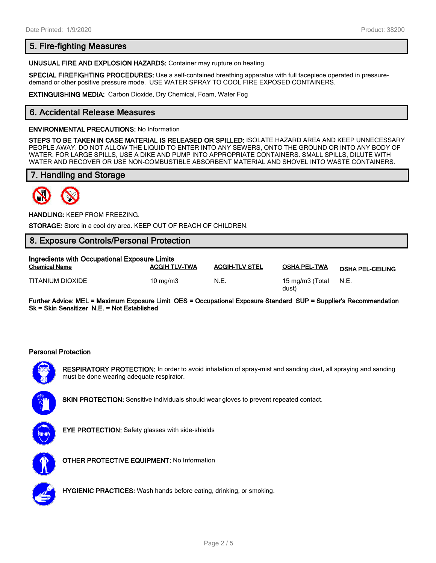# **5. Fire-fighting Measures**

**UNUSUAL FIRE AND EXPLOSION HAZARDS:** Container may rupture on heating.

**SPECIAL FIREFIGHTING PROCEDURES:** Use a self-contained breathing apparatus with full facepiece operated in pressuredemand or other positive pressure mode. USE WATER SPRAY TO COOL FIRE EXPOSED CONTAINERS.

**EXTINGUISHING MEDIA:** Carbon Dioxide, Dry Chemical, Foam, Water Fog

# **6. Accidental Release Measures**

#### **ENVIRONMENTAL PRECAUTIONS:** No Information

**STEPS TO BE TAKEN IN CASE MATERIAL IS RELEASED OR SPILLED:** ISOLATE HAZARD AREA AND KEEP UNNECESSARY PEOPLE AWAY. DO NOT ALLOW THE LIQUID TO ENTER INTO ANY SEWERS, ONTO THE GROUND OR INTO ANY BODY OF WATER. FOR LARGE SPILLS, USE A DIKE AND PUMP INTO APPROPRIATE CONTAINERS. SMALL SPILLS, DILUTE WITH WATER AND RECOVER OR USE NON-COMBUSTIBLE ABSORBENT MATERIAL AND SHOVEL INTO WASTE CONTAINERS.

# **7. Handling and Storage**



**HANDLING:** KEEP FROM FREEZING.

**STORAGE:** Store in a cool dry area. KEEP OUT OF REACH OF CHILDREN.

# **8. Exposure Controls/Personal Protection**

| Ingredients with Occupational Exposure Limits |                      |                       |                          |                         |  |
|-----------------------------------------------|----------------------|-----------------------|--------------------------|-------------------------|--|
| <b>Chemical Name</b>                          | <b>ACGIH TLV-TWA</b> | <b>ACGIH-TLV STEL</b> | <b>OSHA PEL-TWA</b>      | <b>OSHA PEL-CEILING</b> |  |
| TITANIUM DIOXIDE                              | $10 \text{ ma/m}$ 3  | N.E.                  | 15 mg/m3 (Total<br>dust) | N.E.                    |  |

**Further Advice: MEL = Maximum Exposure Limit OES = Occupational Exposure Standard SUP = Supplier's Recommendation Sk = Skin Sensitizer N.E. = Not Established**

#### **Personal Protection**



**RESPIRATORY PROTECTION:** In order to avoid inhalation of spray-mist and sanding dust, all spraying and sanding must be done wearing adequate respirator.



**SKIN PROTECTION:** Sensitive individuals should wear gloves to prevent repeated contact.



**EYE PROTECTION:** Safety glasses with side-shields



**OTHER PROTECTIVE EQUIPMENT:** No Information



**HYGIENIC PRACTICES:** Wash hands before eating, drinking, or smoking.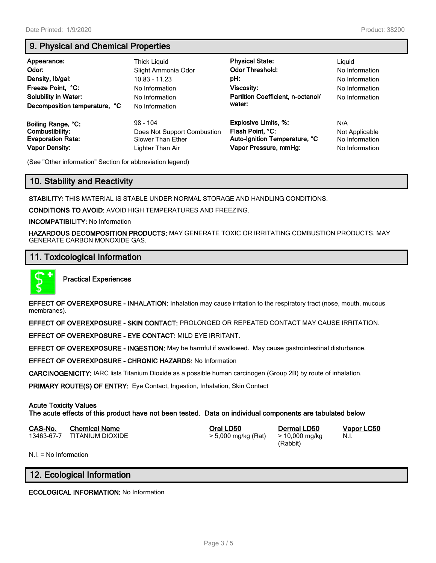# **9. Physical and Chemical Properties**

| Appearance:<br>Odor:<br>Density, Ib/gal:<br>Freeze Point, °C:<br><b>Solubility in Water:</b><br>Decomposition temperature, °C | Thick Liguid<br>Slight Ammonia Odor<br>10.83 - 11.23<br>No Information<br>No Information<br>No Information | <b>Physical State:</b><br><b>Odor Threshold:</b><br>pH:<br>Viscosity:<br>Partition Coefficient, n-octanol/<br>water: | Liguid<br>No Information<br>No Information<br>No Information<br>No Information |
|-------------------------------------------------------------------------------------------------------------------------------|------------------------------------------------------------------------------------------------------------|----------------------------------------------------------------------------------------------------------------------|--------------------------------------------------------------------------------|
| Boiling Range, °C:                                                                                                            | $98 - 104$                                                                                                 | <b>Explosive Limits, %:</b>                                                                                          | N/A                                                                            |
| Combustibility:                                                                                                               | Does Not Support Combustion                                                                                | Flash Point, °C:                                                                                                     | Not Applicable                                                                 |
| <b>Evaporation Rate:</b>                                                                                                      | Slower Than Ether                                                                                          | Auto-Ignition Temperature, °C                                                                                        | No Information                                                                 |
| <b>Vapor Density:</b>                                                                                                         | Lighter Than Air                                                                                           | Vapor Pressure, mmHg:                                                                                                | No Information                                                                 |

(See "Other information" Section for abbreviation legend)

# **10. Stability and Reactivity**

**STABILITY:** THIS MATERIAL IS STABLE UNDER NORMAL STORAGE AND HANDLING CONDITIONS.

**CONDITIONS TO AVOID:** AVOID HIGH TEMPERATURES AND FREEZING.

**INCOMPATIBILITY:** No Information

**HAZARDOUS DECOMPOSITION PRODUCTS:** MAY GENERATE TOXIC OR IRRITATING COMBUSTION PRODUCTS. MAY GENERATE CARBON MONOXIDE GAS.

# **11. Toxicological Information**



**Practical Experiences**

**EFFECT OF OVEREXPOSURE - INHALATION:** Inhalation may cause irritation to the respiratory tract (nose, mouth, mucous membranes).

**EFFECT OF OVEREXPOSURE - SKIN CONTACT:** PROLONGED OR REPEATED CONTACT MAY CAUSE IRRITATION.

**EFFECT OF OVEREXPOSURE - EYE CONTACT:** MILD EYE IRRITANT.

**EFFECT OF OVEREXPOSURE - INGESTION:** May be harmful if swallowed. May cause gastrointestinal disturbance.

**EFFECT OF OVEREXPOSURE - CHRONIC HAZARDS:** No Information

**CARCINOGENICITY:** IARC lists Titanium Dioxide as a possible human carcinogen (Group 2B) by route of inhalation.

**PRIMARY ROUTE(S) OF ENTRY:** Eye Contact, Ingestion, Inhalation, Skin Contact

### **Acute Toxicity Values**

**The acute effects of this product have not been tested. Data on individual components are tabulated below**

| CAS-No. | <b>Chemical Name</b>        | Oral LD50           | Dermal LD50    |
|---------|-----------------------------|---------------------|----------------|
|         | 13463-67-7 TITANIUM DIOXIDE | > 5,000 mg/kg (Rat) | > 10,000 mg/kg |

(Rabbit)

**CAS-No. Chemical Name Oral LD50 Dermal LD50 Vapor LC50** N.I.

N.I. = No Information

# **12. Ecological Information**

**ECOLOGICAL INFORMATION:** No Information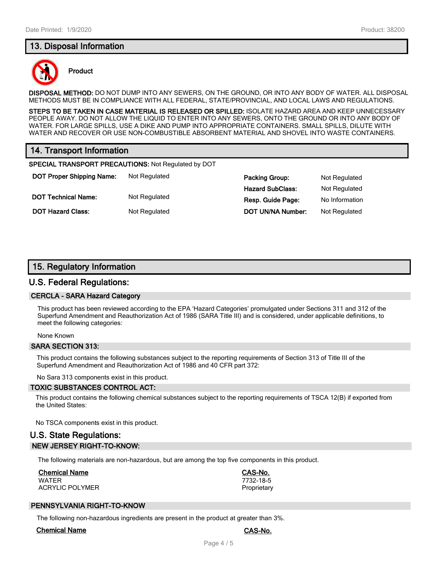# **13. Disposal Information**



#### **Product**

**DISPOSAL METHOD:** DO NOT DUMP INTO ANY SEWERS, ON THE GROUND, OR INTO ANY BODY OF WATER. ALL DISPOSAL METHODS MUST BE IN COMPLIANCE WITH ALL FEDERAL, STATE/PROVINCIAL, AND LOCAL LAWS AND REGULATIONS.

**STEPS TO BE TAKEN IN CASE MATERIAL IS RELEASED OR SPILLED:** ISOLATE HAZARD AREA AND KEEP UNNECESSARY PEOPLE AWAY. DO NOT ALLOW THE LIQUID TO ENTER INTO ANY SEWERS, ONTO THE GROUND OR INTO ANY BODY OF WATER. FOR LARGE SPILLS, USE A DIKE AND PUMP INTO APPROPRIATE CONTAINERS. SMALL SPILLS, DILUTE WITH WATER AND RECOVER OR USE NON-COMBUSTIBLE ABSORBENT MATERIAL AND SHOVEL INTO WASTE CONTAINERS.

# **14. Transport Information**

**SPECIAL TRANSPORT PRECAUTIONS:** Not Regulated by DOT

**DOT Proper Shipping Name:** Not Regulated **Packing Group:** Not Regulated **Packing Group:** Not Regulated **DOT Technical Name:** Not Regulated **Resp. Guide Page:** No Information

**Hazard SubClass:** Not Regulated **DOT Hazard Class:** Not Regulated **DOT UN/NA Number:** Not Regulated

# **15. Regulatory Information**

## **U.S. Federal Regulations:**

#### **CERCLA - SARA Hazard Category**

This product has been reviewed according to the EPA 'Hazard Categories' promulgated under Sections 311 and 312 of the Superfund Amendment and Reauthorization Act of 1986 (SARA Title III) and is considered, under applicable definitions, to meet the following categories:

None Known

#### **SARA SECTION 313:**

This product contains the following substances subject to the reporting requirements of Section 313 of Title III of the Superfund Amendment and Reauthorization Act of 1986 and 40 CFR part 372:

No Sara 313 components exist in this product.

#### **TOXIC SUBSTANCES CONTROL ACT:**

This product contains the following chemical substances subject to the reporting requirements of TSCA 12(B) if exported from the United States:

No TSCA components exist in this product.

# **U.S. State Regulations: NEW JERSEY RIGHT-TO-KNOW:**

The following materials are non-hazardous, but are among the top five components in this product.

### **Chemical Name CAS-No.**

WATER 7732-18-5 ACRYLIC POLYMER **PROPRIET ACRYLIC POLYMER** 

### **PENNSYLVANIA RIGHT-TO-KNOW**

The following non-hazardous ingredients are present in the product at greater than 3%.

#### **Chemical Name CAS-No.**